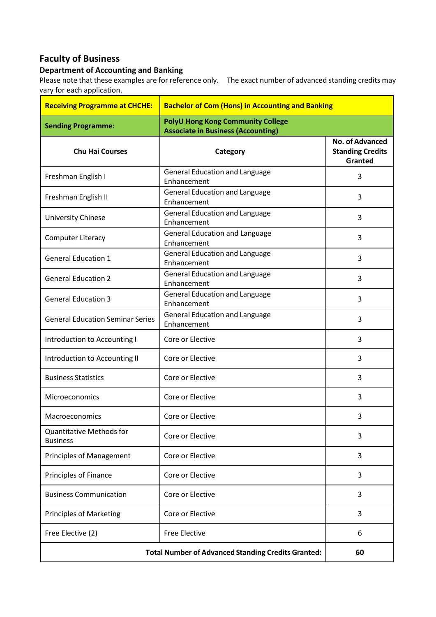## **Faculty of Business**

## **Department of Accounting and Banking**

Please note that these examples are for reference only. The exact number of advanced standing credits may vary for each application.

| <b>Receiving Programme at CHCHE:</b>                      | <b>Bachelor of Com (Hons) in Accounting and Banking</b>                               |                                                              |
|-----------------------------------------------------------|---------------------------------------------------------------------------------------|--------------------------------------------------------------|
| <b>Sending Programme:</b>                                 | <b>PolyU Hong Kong Community College</b><br><b>Associate in Business (Accounting)</b> |                                                              |
| <b>Chu Hai Courses</b>                                    | Category                                                                              | <b>No. of Advanced</b><br><b>Standing Credits</b><br>Granted |
| Freshman English I                                        | <b>General Education and Language</b><br>Enhancement                                  | 3                                                            |
| Freshman English II                                       | <b>General Education and Language</b><br>Enhancement                                  | 3                                                            |
| University Chinese                                        | <b>General Education and Language</b><br>Enhancement                                  | 3                                                            |
| <b>Computer Literacy</b>                                  | <b>General Education and Language</b><br>Enhancement                                  | 3                                                            |
| <b>General Education 1</b>                                | <b>General Education and Language</b><br>Enhancement                                  | 3                                                            |
| <b>General Education 2</b>                                | <b>General Education and Language</b><br>Enhancement                                  | 3                                                            |
| <b>General Education 3</b>                                | <b>General Education and Language</b><br>Enhancement                                  | 3                                                            |
| <b>General Education Seminar Series</b>                   | <b>General Education and Language</b><br>Enhancement                                  | 3                                                            |
| Introduction to Accounting I                              | Core or Elective                                                                      | 3                                                            |
| Introduction to Accounting II                             | Core or Elective                                                                      | 3                                                            |
| <b>Business Statistics</b>                                | Core or Elective                                                                      | 3                                                            |
| Microeconomics                                            | Core or Elective                                                                      | 3                                                            |
| Macroeconomics                                            | Core or Elective                                                                      | 3                                                            |
| <b>Quantitative Methods for</b><br><b>Business</b>        | Core or Elective                                                                      | 3                                                            |
| <b>Principles of Management</b>                           | Core or Elective                                                                      | 3                                                            |
| Principles of Finance                                     | Core or Elective                                                                      | 3                                                            |
| <b>Business Communication</b>                             | Core or Elective                                                                      | 3                                                            |
| <b>Principles of Marketing</b>                            | Core or Elective                                                                      | 3                                                            |
| Free Elective (2)                                         | <b>Free Elective</b>                                                                  | 6                                                            |
| <b>Total Number of Advanced Standing Credits Granted:</b> |                                                                                       | 60                                                           |